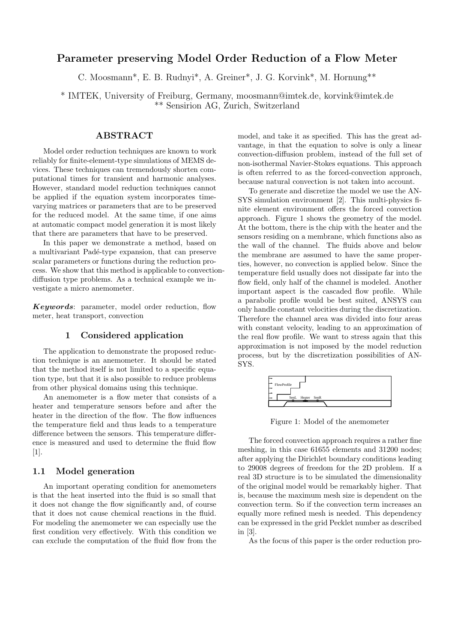# Parameter preserving Model Order Reduction of a Flow Meter

C. Moosmann\*, E. B. Rudnyi\*, A. Greiner\*, J. G. Korvink\*, M. Hornung\*\*

\* IMTEK, University of Freiburg, Germany, moosmann@imtek.de, korvink@imtek.de \*\* Sensirion AG, Zurich, Switzerland

## ABSTRACT

Model order reduction techniques are known to work reliably for finite-element-type simulations of MEMS devices. These techniques can tremendously shorten computational times for transient and harmonic analyses. However, standard model reduction techniques cannot be applied if the equation system incorporates timevarying matrices or parameters that are to be preserved for the reduced model. At the same time, if one aims at automatic compact model generation it is most likely that there are parameters that have to be preserved.

In this paper we demonstrate a method, based on a multivariant Padé-type expansion, that can preserve scalar parameters or functions during the reduction process. We show that this method is applicable to convectiondiffusion type problems. As a technical example we investigate a micro anemometer.

Keywords: parameter, model order reduction, flow meter, heat transport, convection

#### 1 Considered application

The application to demonstrate the proposed reduction technique is an anemometer. It should be stated that the method itself is not limited to a specific equation type, but that it is also possible to reduce problems from other physical domains using this technique.

An anemometer is a flow meter that consists of a heater and temperature sensors before and after the heater in the direction of the flow. The flow influences the temperature field and thus leads to a temperature difference between the sensors. This temperature difference is measured and used to determine the fluid flow [1].

## 1.1 Model generation

An important operating condition for anemometers is that the heat inserted into the fluid is so small that it does not change the flow significantly and, of course that it does not cause chemical reactions in the fluid. For modeling the anemometer we can especially use the first condition very effectively. With this condition we can exclude the computation of the fluid flow from the model, and take it as specified. This has the great advantage, in that the equation to solve is only a linear convection-diffusion problem, instead of the full set of non-isothermal Navier-Stokes equations. This approach is often referred to as the forced-convection approach, because natural convection is not taken into account.

To generate and discretize the model we use the AN-SYS simulation environment [2]. This multi-physics finite element environment offers the forced convection approach. Figure 1 shows the geometry of the model. At the bottom, there is the chip with the heater and the sensors residing on a membrane, which functions also as the wall of the channel. The fluids above and below the membrane are assumed to have the same properties, however, no convection is applied below. Since the temperature field usually does not dissipate far into the flow field, only half of the channel is modeled. Another important aspect is the cascaded flow profile. While a parabolic profile would be best suited, ANSYS can only handle constant velocities during the discretization. Therefore the channel area was divided into four areas with constant velocity, leading to an approximation of the real flow profile. We want to stress again that this approximation is not imposed by the model reduction process, but by the discretization possibilities of AN-SYS.



Figure 1: Model of the anemometer

The forced convection approach requires a rather fine meshing, in this case 61655 elements and 31200 nodes; after applying the Dirichlet boundary conditions leading to 29008 degrees of freedom for the 2D problem. If a real 3D structure is to be simulated the dimensionality of the original model would be remarkably higher. That is, because the maximum mesh size is dependent on the convection term. So if the convection term increases an equally more refined mesh is needed. This dependency can be expressed in the grid Pecklet number as described in [3].

As the focus of this paper is the order reduction pro-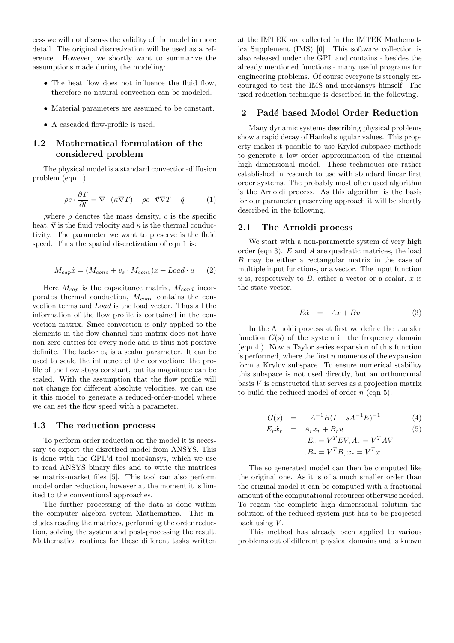cess we will not discuss the validity of the model in more detail. The original discretization will be used as a reference. However, we shortly want to summarize the assumptions made during the modeling:

- The heat flow does not influence the fluid flow, therefore no natural convection can be modeled.
- Material parameters are assumed to be constant.
- A cascaded flow-profile is used.

# 1.2 Mathematical formulation of the considered problem

The physical model is a standard convection-diffusion problem (eqn 1).

$$
\rho c \cdot \frac{\partial T}{\partial t} = \nabla \cdot (\kappa \nabla T) - \rho c \cdot \vec{\mathbf{v}} \nabla T + \dot{q} \tag{1}
$$

,where  $\rho$  denotes the mass density, c is the specific heat,  $\vec{v}$  is the fluid velocity and  $\kappa$  is the thermal conductivity. The parameter we want to preserve is the fluid speed. Thus the spatial discretization of eqn 1 is:

$$
M_{cap}\dot{x} = (M_{cond} + v_s \cdot M_{conv})x + Load \cdot u \qquad (2)
$$

Here  $M_{cap}$  is the capacitance matrix,  $M_{cond}$  incorporates thermal conduction,  $M_{conv}$  contains the convection terms and Load is the load vector. Thus all the information of the flow profile is contained in the convection matrix. Since convection is only applied to the elements in the flow channel this matrix does not have non-zero entries for every node and is thus not positive definite. The factor  $v_s$  is a scalar parameter. It can be used to scale the influence of the convection: the profile of the flow stays constant, but its magnitude can be scaled. With the assumption that the flow profile will not change for different absolute velocities, we can use it this model to generate a reduced-order-model where we can set the flow speed with a parameter.

#### 1.3 The reduction process

To perform order reduction on the model it is necessary to export the disretized model from ANSYS. This is done with the GPL'd tool mor4ansys, which we use to read ANSYS binary files and to write the matrices as matrix-market files [5]. This tool can also perform model order reduction, however at the moment it is limited to the conventional approaches.

The further processing of the data is done within the computer algebra system Mathematica. This includes reading the matrices, performing the order reduction, solving the system and post-processing the result. Mathematica routines for these different tasks written at the IMTEK are collected in the IMTEK Mathematica Supplement (IMS) [6]. This software collection is also released under the GPL and contains - besides the already mentioned functions - many useful programs for engineering problems. Of course everyone is strongly encouraged to test the IMS and mor4ansys himself. The used reduction technique is described in the following.

#### 2 Padé based Model Order Reduction

Many dynamic systems describing physical problems show a rapid decay of Hankel singular values. This property makes it possible to use Krylof subspace methods to generate a low order approximation of the original high dimensional model. These techniques are rather established in research to use with standard linear first order systems. The probably most often used algorithm is the Arnoldi process. As this algorithm is the basis for our parameter preserving approach it will be shortly described in the following.

#### 2.1 The Arnoldi process

We start with a non-parametric system of very high order (eqn 3). E and A are quadratic matrices, the load B may be either a rectangular matrix in the case of multiple input functions, or a vector. The input function u is, respectively to  $B$ , either a vector or a scalar,  $x$  is the state vector.

$$
E\dot{x} = Ax + Bu \tag{3}
$$

In the Arnoldi process at first we define the transfer function  $G(s)$  of the system in the frequency domain (eqn 4 ). Now a Taylor series expansion of this function is performed, where the first  $n$  moments of the expansion form a Krylov subspace. To ensure numerical stability this subspace is not used directly, but an orthonormal basis V is constructed that serves as a projection matrix to build the reduced model of order  $n$  (eqn 5).

$$
G(s) = -A^{-1}B(I - sA^{-1}E)^{-1}
$$
 (4)

$$
E_r \dot{x}_r = A_r x_r + B_r u
$$
  
\n
$$
E_r = V^T E V, A_r = V^T A V
$$
  
\n
$$
B_r = V^T B, x_r = V^T x
$$
  
\n(5)

The so generated model can then be computed like the original one. As it is of a much smaller order than the original model it can be computed with a fractional amount of the computational resources otherwise needed. To regain the complete high dimensional solution the solution of the reduced system just has to be projected back using  $V$ .

This method has already been applied to various problems out of different physical domains and is known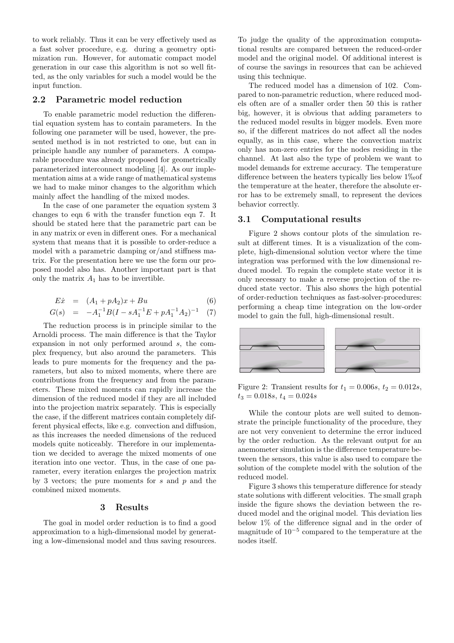to work reliably. Thus it can be very effectively used as a fast solver procedure, e.g. during a geometry optimization run. However, for automatic compact model generation in our case this algorithm is not so well fitted, as the only variables for such a model would be the input function.

# 2.2 Parametric model reduction

To enable parametric model reduction the differential equation system has to contain parameters. In the following one parameter will be used, however, the presented method is in not restricted to one, but can in principle handle any number of parameters. A comparable procedure was already proposed for geometrically parameterized interconnect modeling [4]. As our implementation aims at a wide range of mathematical systems we had to make minor changes to the algorithm which mainly affect the handling of the mixed modes.

In the case of one parameter the equation system 3 changes to eqn 6 with the transfer function eqn 7. It should be stated here that the parametric part can be in any matrix or even in different ones. For a mechanical system that means that it is possible to order-reduce a model with a parametric damping or/and stiffness matrix. For the presentation here we use the form our proposed model also has. Another important part is that only the matrix  $A_1$  has to be invertible.

$$
E\dot{x} = (A_1 + pA_2)x + Bu \tag{6}
$$

$$
G(s) = -A_1^{-1}B(I - sA_1^{-1}E + pA_1^{-1}A_2)^{-1} \quad (7)
$$

The reduction process is in principle similar to the Arnoldi process. The main difference is that the Taylor expansion in not only performed around s, the complex frequency, but also around the parameters. This leads to pure moments for the frequency and the parameters, but also to mixed moments, where there are contributions from the frequency and from the parameters. These mixed moments can rapidly increase the dimension of the reduced model if they are all included into the projection matrix separately. This is especially the case, if the different matrices contain completely different physical effects, like e.g. convection and diffusion, as this increases the needed dimensions of the reduced models quite noticeably. Therefore in our implementation we decided to average the mixed moments of one iteration into one vector. Thus, in the case of one parameter, every iteration enlarges the projection matrix by 3 vectors; the pure moments for  $s$  and  $p$  and the combined mixed moments.

## 3 Results

The goal in model order reduction is to find a good approximation to a high-dimensional model by generating a low-dimensional model and thus saving resources.

To judge the quality of the approximation computational results are compared between the reduced-order model and the original model. Of additional interest is of course the savings in resources that can be achieved using this technique.

The reduced model has a dimension of 102. Compared to non-parametric reduction, where reduced models often are of a smaller order then 50 this is rather big, however, it is obvious that adding parameters to the reduced model results in bigger models. Even more so, if the different matrices do not affect all the nodes equally, as in this case, where the convection matrix only has non-zero entries for the nodes residing in the channel. At last also the type of problem we want to model demands for extreme accuracy. The temperature difference between the heaters typically lies below  $1\%$ the temperature at the heater, therefore the absolute error has to be extremely small, to represent the devices behavior correctly.

### 3.1 Computational results

Figure 2 shows contour plots of the simulation result at different times. It is a visualization of the complete, high-dimensional solution vector where the time integration was performed with the low dimensional reduced model. To regain the complete state vector it is only necessary to make a reverse projection of the reduced state vector. This also shows the high potential of order-reduction techniques as fast-solver-procedures: performing a cheap time integration on the low-order model to gain the full, high-dimensional result.



Figure 2: Transient results for  $t_1 = 0.006s$ ,  $t_2 = 0.012s$ ,  $t_3 = 0.018s, t_4 = 0.024s$ 

While the contour plots are well suited to demonstrate the principle functionality of the procedure, they are not very convenient to determine the error induced by the order reduction. As the relevant output for an anemometer simulation is the difference temperature between the sensors, this value is also used to compare the solution of the complete model with the solution of the reduced model.

Figure 3 shows this temperature difference for steady state solutions with different velocities. The small graph inside the figure shows the deviation between the reduced model and the original model. This deviation lies below 1% of the difference signal and in the order of magnitude of 10<sup>−</sup><sup>5</sup> compared to the temperature at the nodes itself.